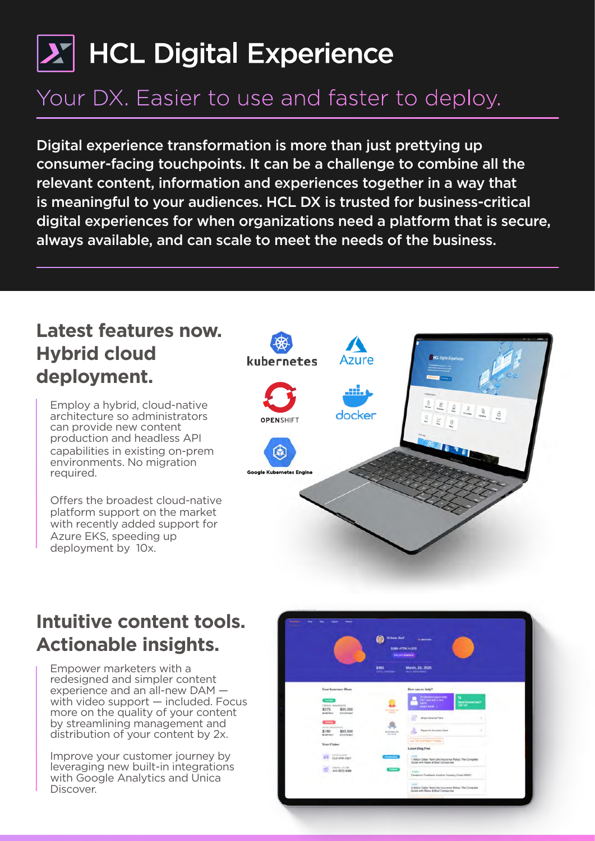# $|\boldsymbol{\lambda}^{\prime}|$  HCL Digital Experience

# Your DX. Easier to use and faster to deploy.

Digital experience transformation is more than just prettying up consumer-facing touchpoints. It can be a challenge to combine all the relevant content, information and experiences together in a way that is meaningful to your audiences. HCL DX is trusted for business-critical digital experiences for when organizations need a platform that is secure, always available, and can scale to meet the needs of the business.

### **Latest features now. Hybrid cloud deployment.**

Employ a hybrid, cloud-native architecture so administrators can provide new content production and headless API capabilities in existing on-prem environments. No migration required.

Offers the broadest cloud-native platform support on the market with recently added support for Azure EKS, speeding up deployment by 10x.



### **Intuitive content tools. Actionable insights.**

Empower marketers with a redesigned and simpler content experience and an all-new DAM with video support — included. Focus more on the quality of your content by streamlining management and distribution of your content by 2x.

Improve your customer journey by leveraging new built-in integrations with Google Analytics and Unica Discover.